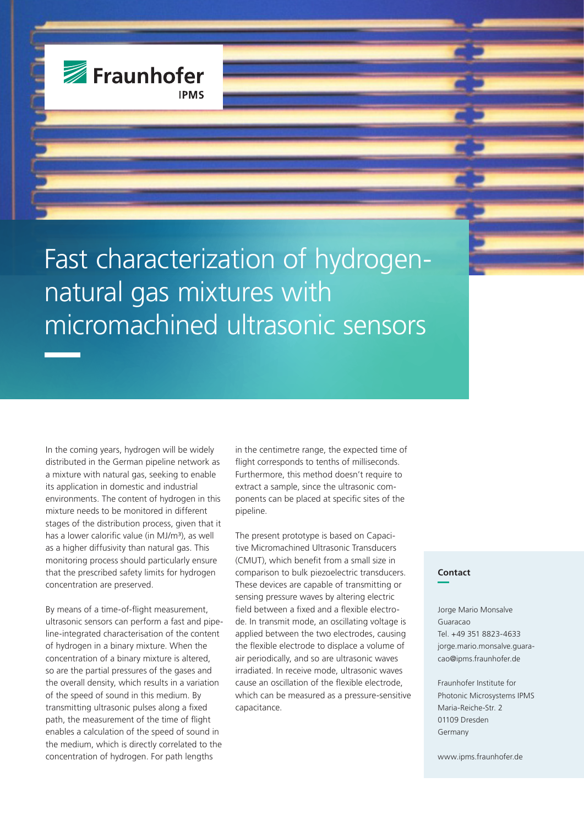

Fast characterization of hydrogennatural gas mixtures with micromachined ultrasonic sensors

In the coming years, hydrogen will be widely distributed in the German pipeline network as a mixture with natural gas, seeking to enable its application in domestic and industrial environments. The content of hydrogen in this mixture needs to be monitored in different stages of the distribution process, given that it has a lower calorific value (in MJ/m<sup>3</sup>), as well as a higher diffusivity than natural gas. This monitoring process should particularly ensure that the prescribed safety limits for hydrogen concentration are preserved.

By means of a time-of-flight measurement, ultrasonic sensors can perform a fast and pipeline-integrated characterisation of the content of hydrogen in a binary mixture. When the concentration of a binary mixture is altered, so are the partial pressures of the gases and the overall density, which results in a variation of the speed of sound in this medium. By transmitting ultrasonic pulses along a fixed path, the measurement of the time of flight enables a calculation of the speed of sound in the medium, which is directly correlated to the concentration of hydrogen. For path lengths

in the centimetre range, the expected time of flight corresponds to tenths of milliseconds. Furthermore, this method doesn't require to extract a sample, since the ultrasonic components can be placed at specific sites of the pipeline.

The present prototype is based on Capacitive Micromachined Ultrasonic Transducers (CMUT), which benefit from a small size in comparison to bulk piezoelectric transducers. These devices are capable of transmitting or sensing pressure waves by altering electric field between a fixed and a flexible electrode. In transmit mode, an oscillating voltage is applied between the two electrodes, causing the flexible electrode to displace a volume of air periodically, and so are ultrasonic waves irradiated. In receive mode, ultrasonic waves cause an oscillation of the flexible electrode, which can be measured as a pressure-sensitive capacitance.

## **Contact**

Jorge Mario Monsalve Guaracao Tel. +49 351 8823-4633 jorge.mario.monsalve.guaracao@ipms.fraunhofer.de

Fraunhofer Institute for Photonic Microsystems IPMS Maria-Reiche-Str. 2 01109 Dresden Germany

www.ipms.fraunhofer.de